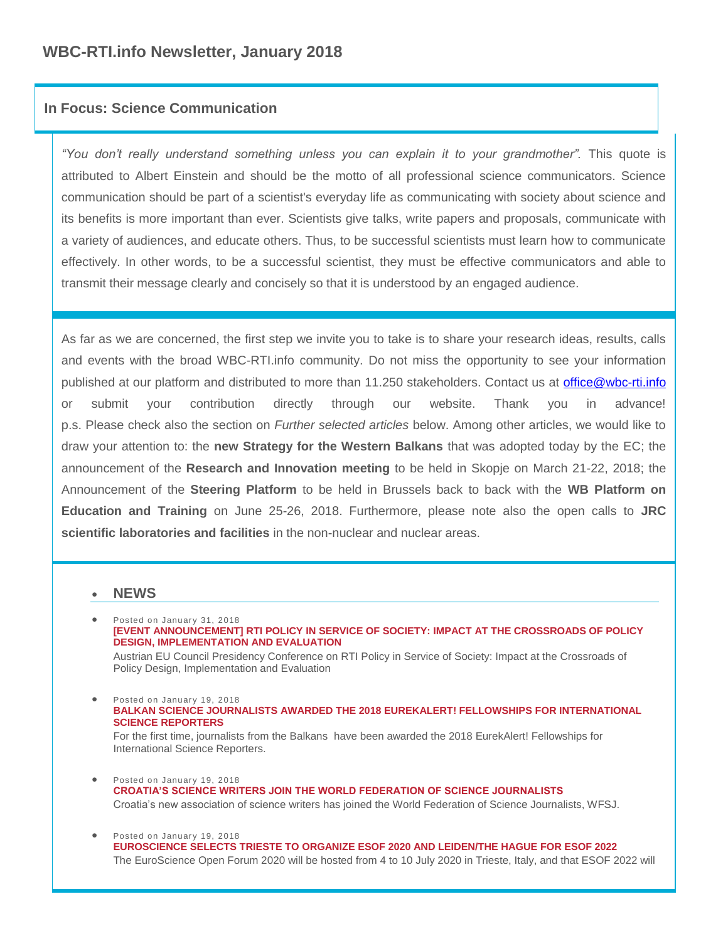# **In Focus: Science Communication**

*"You don't really understand something unless you can explain it to your grandmother".* This quote is attributed to Albert Einstein and should be the motto of all professional science communicators. Science communication should be part of a scientist's everyday life as communicating with society about science and its benefits is more important than ever. Scientists give talks, write papers and proposals, communicate with a variety of audiences, and educate others. Thus, to be successful scientists must learn how to communicate effectively. In other words, to be a successful scientist, they must be effective communicators and able to transmit their message clearly and concisely so that it is understood by an engaged audience.

As far as we are concerned, the first step we invite you to take is to share your research ideas, results, calls and events with the broad WBC-RTI.info community. Do not miss the opportunity to see your information published at our platform and distributed to more than 11.250 stakeholders. Contact us at [office@wbc-rti.info](mailto:office@wbc-rti.info) or submit your contribution directly through our website. Thank you in advance! p.s. Please check also the section on *Further selected articles* below. Among other articles, we would like to draw your attention to: the **new Strategy for the Western Balkans** that was adopted today by the EC; the announcement of the **Research and Innovation meeting** to be held in Skopje on March 21-22, 2018; the Announcement of the **Steering Platform** to be held in Brussels back to back with the **WB Platform on Education and Training** on June 25-26, 2018. Furthermore, please note also the open calls to **JRC scientific laboratories and facilities** in the non-nuclear and nuclear areas.

# **NEWS**

Policy Design, Implementation and Evaluation

- Posted on January 31, 2018 **[\[EVENT ANNOUNCEMENT\] RTI POLICY IN SERVICE OF SOCIETY: IMPACT AT THE CROSSROADS OF POLICY](https://wbc-rti.info/object/news/16840)  [DESIGN, IMPLEMENTATION AND EVALUATION](https://wbc-rti.info/object/news/16840)** Austrian EU Council Presidency Conference on RTI Policy in Service of Society: Impact at the Crossroads of
- Posted on January 19, 2018 **[BALKAN SCIENCE JOURNALISTS AWARDED THE 2018 EUREKALERT! FELLOWSHIPS FOR INTERNATIONAL](https://wbc-rti.info/object/news/16800)  [SCIENCE REPORTERS](https://wbc-rti.info/object/news/16800)** For the first time, journalists from the Balkans have been awarded the 2018 EurekAlert! Fellowships for International Science Reporters.
- **•** Posted on January 19, 2018 **[CROATIA'S SCIENCE WRITERS JOIN THE WORLD FEDERATION OF SCIENCE JOURNALISTS](https://wbc-rti.info/object/news/16798)** Croatia's new association of science writers has joined the World Federation of Science Journalists, WFSJ.
- Posted on January 19, 2018 **[EUROSCIENCE SELECTS TRIESTE TO ORGANIZE ESOF 2020 AND LEIDEN/THE HAGUE FOR ESOF 2022](https://wbc-rti.info/object/news/16786)** The EuroScience Open Forum 2020 will be hosted from 4 to 10 July 2020 in Trieste, Italy, and that ESOF 2022 will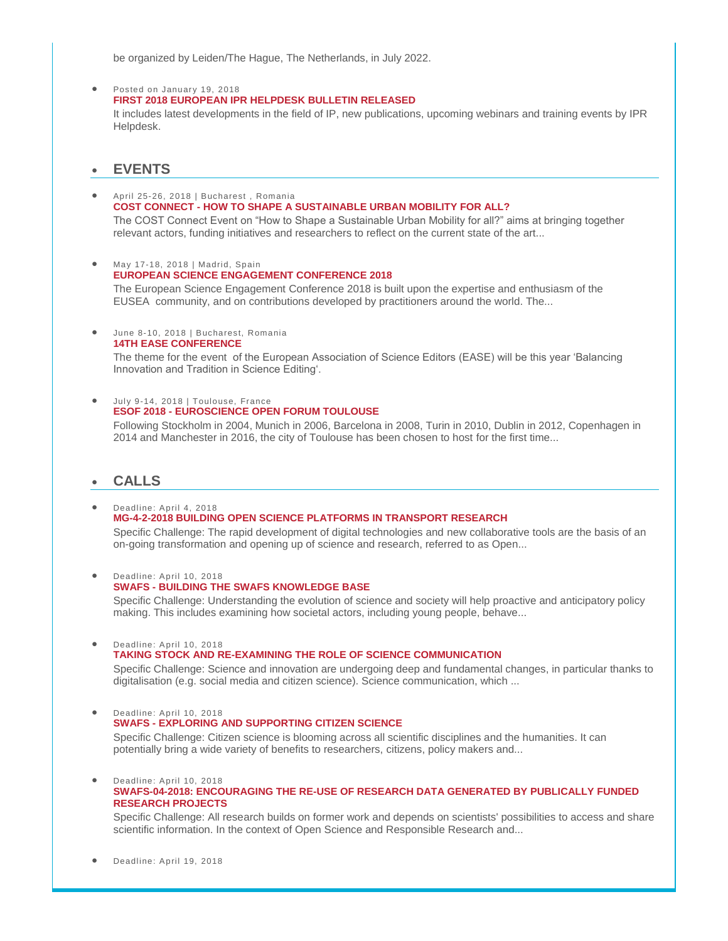be organized by Leiden/The Hague, The Netherlands, in July 2022.

#### Posted on January 19, 2018 **[FIRST 2018 EUROPEAN IPR HELPDESK BULLETIN RELEASED](https://wbc-rti.info/object/news/16781)**

It includes latest developments in the field of IP, new publications, upcoming webinars and training events by IPR Helpdesk.

# **EVENTS**

- April 25-26, 2018 | Bucharest , Romania **COST CONNECT - [HOW TO SHAPE A SUSTAINABLE URBAN MOBILITY FOR ALL?](https://wbc-rti.info/object/event/16805)**  The COST Connect Event on "How to Shape a Sustainable Urban Mobility for all?" aims at bringing together relevant actors, funding initiatives and researchers to reflect on the current state of the art...
- $\bullet$  May 17-18, 2018 | Madrid, Spain **[EUROPEAN SCIENCE ENGAGEMENT CONFERENCE 2018](https://wbc-rti.info/object/event/16773)** The European Science Engagement Conference 2018 is built upon the expertise and enthusiasm of the EUSEA community, and on contributions developed by practitioners around the world. The...
- June 8-10, 2018 | Bucharest, Romania **[14TH EASE CONFERENCE](https://wbc-rti.info/object/event/16801)**

The theme for the event of the European Association of Science Editors (EASE) will be this year 'Balancing Innovation and Tradition in Science Editing'.

July 9-14, 2018 | Toulouse, France **ESOF 2018 - [EUROSCIENCE OPEN FORUM TOULOUSE](https://wbc-rti.info/object/event/16037)**

Following Stockholm in 2004, Munich in 2006, Barcelona in 2008, Turin in 2010, Dublin in 2012, Copenhagen in 2014 and Manchester in 2016, the city of Toulouse has been chosen to host for the first time...

# **CALLS**

 Deadline: April 4, 2018 **[MG-4-2-2018 BUILDING OPEN SCIENCE PLATFORMS IN TRANSPORT RESEARCH](https://wbc-rti.info/object/call/16691)**  Specific Challenge: The rapid development of digital technologies and new collaborative tools are the basis of an

on-going transformation and opening up of science and research, referred to as Open...

**SWAFS - [BUILDING THE SWAFS KNOWLEDGE BASE](https://wbc-rti.info/object/call/16812)**  Specific Challenge: Understanding the evolution of science and society will help proactive and anticipatory policy making. This includes examining how societal actors, including young people, behave...

Deadline: April 10, 2018

Deadline: April 10, 2018

### **[TAKING STOCK AND RE-EXAMINING THE ROLE OF SCIENCE COMMUNICATION](https://wbc-rti.info/object/call/16811)**

Specific Challenge: Science and innovation are undergoing deep and fundamental changes, in particular thanks to digitalisation (e.g. social media and citizen science). Science communication, which ...

Deadline: April 10, 2018

**SWAFS - [EXPLORING AND SUPPORTING CITIZEN SCIENCE](https://wbc-rti.info/object/call/16810)** 

Specific Challenge: Citizen science is blooming across all scientific disciplines and the humanities. It can potentially bring a wide variety of benefits to researchers, citizens, policy makers and...

 Deadline: April 10, 2018 **[SWAFS-04-2018: ENCOURAGING THE RE-USE OF RESEARCH DATA GENERATED BY PUBLICALLY FUNDED](https://wbc-rti.info/object/call/16690)  [RESEARCH PROJECTS](https://wbc-rti.info/object/call/16690)**

Specific Challenge: All research builds on former work and depends on scientists' possibilities to access and share scientific information. In the context of Open Science and Responsible Research and...

Deadline: April 19, 2018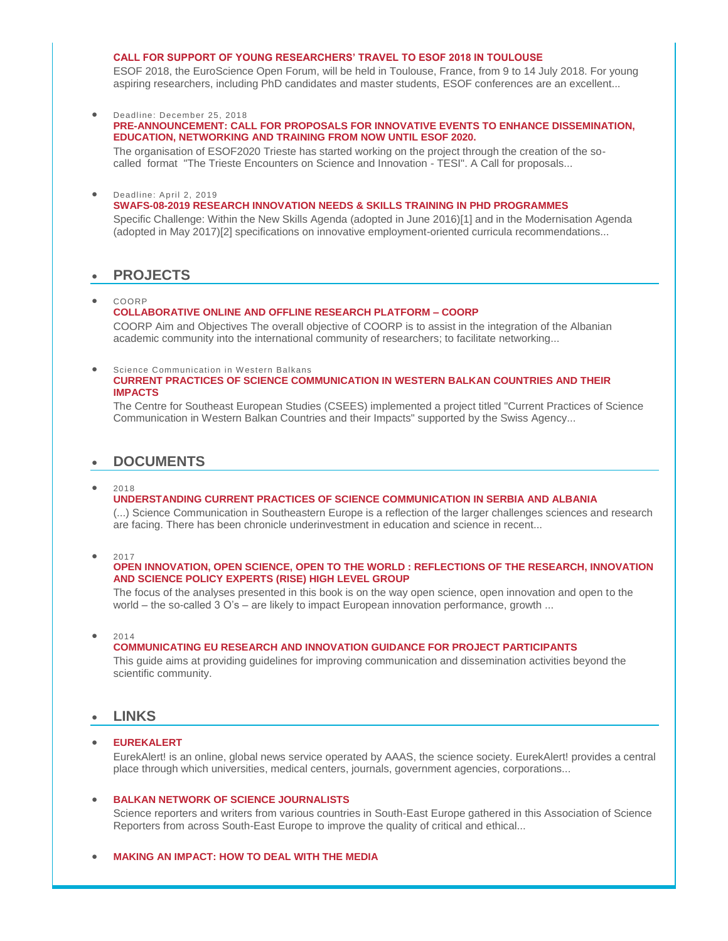### **[CALL FOR SUPPORT OF YOUNG RESEARCHERS' TRAVEL TO ESOF 2018 IN TOULOUSE](https://wbc-rti.info/object/call/16787)**

ESOF 2018, the EuroScience Open Forum, will be held in Toulouse, France, from 9 to 14 July 2018. For young aspiring researchers, including PhD candidates and master students, ESOF conferences are an excellent...

Deadline: December 25, 2018

#### **[PRE-ANNOUNCEMENT: CALL FOR PROPOSALS FOR INNOVATIVE EVENTS TO ENHANCE DISSEMINATION,](https://wbc-rti.info/object/call/16826)  [EDUCATION, NETWORKING AND TRAINING FROM NOW UNTIL ESOF 2020.](https://wbc-rti.info/object/call/16826)**

The organisation of ESOF2020 Trieste has started working on the project through the creation of the socalled format "The Trieste Encounters on Science and Innovation - TESI". A Call for proposals...

#### Deadline: April 2, 2019 **[SWAFS-08-2019 RESEARCH INNOVATION NEEDS & SKILLS TRAINING IN PHD PROGRAMMES](https://wbc-rti.info/object/call/16621)**

Specific Challenge: Within the New Skills Agenda (adopted in June 2016)[1] and in the Modernisation Agenda (adopted in May 2017)[2] specifications on innovative employment-oriented curricula recommendations...

# **PROJECTS**

COORP

#### **[COLLABORATIVE ONLINE AND OFFLINE RESEARCH PLATFORM –](https://wbc-rti.info/object/project/16745) COORP**

COORP Aim and Objectives The overall objective of COORP is to assist in the integration of the Albanian academic community into the international community of researchers; to facilitate networking...

#### Science Communication in Western Balkans **[CURRENT PRACTICES OF SCIENCE COMMUNICATION IN WESTERN BALKAN COUNTRIES AND THEIR](https://wbc-rti.info/object/project/16744)  [IMPACTS](https://wbc-rti.info/object/project/16744)**

The Centre for Southeast European Studies (CSEES) implemented a project titled "Current Practices of Science Communication in Western Balkan Countries and their Impacts" supported by the Swiss Agency...

# **DOCUMENTS**

#### $• 2018$

### **[UNDERSTANDING CURRENT PRACTICES OF SCIENCE COMMUNICATION IN SERBIA AND ALBANIA](https://wbc-rti.info/object/document/16842)**

(...) Science Communication in Southeastern Europe is a reflection of the larger challenges sciences and research are facing. There has been chronicle underinvestment in education and science in recent...

<sup>2017</sup>

#### **[OPEN INNOVATION, OPEN SCIENCE, OPEN TO THE WORLD : REFLECTIONS OF THE RESEARCH, INNOVATION](https://wbc-rti.info/object/document/16701)  [AND SCIENCE POLICY EXPERTS \(RISE\) HIGH LEVEL GROUP](https://wbc-rti.info/object/document/16701)**

The focus of the analyses presented in this book is on the way open science, open innovation and open to the world – the so-called 3 O's – are likely to impact European innovation performance, growth ...

 $• 2014$ 

### **[COMMUNICATING EU RESEARCH AND INNOVATION GUIDANCE FOR PROJECT PARTICIPANTS](https://wbc-rti.info/object/document/16790)**

This guide aims at providing guidelines for improving communication and dissemination activities beyond the scientific community.

### **LINKS**

# **[EUREKALERT](https://wbc-rti.info/object/link/16799)**

EurekAlert! is an online, global news service operated by AAAS, the science society. EurekAlert! provides a central place through which universities, medical centers, journals, government agencies, corporations...

#### **[BALKAN NETWORK OF SCIENCE JOURNALISTS](https://wbc-rti.info/object/link/16797)**

Science reporters and writers from various countries in South-East Europe gathered in this Association of Science Reporters from across South-East Europe to improve the quality of critical and ethical...

#### **[MAKING AN IMPACT: HOW TO DEAL WITH THE MEDIA](https://wbc-rti.info/object/link/16793)**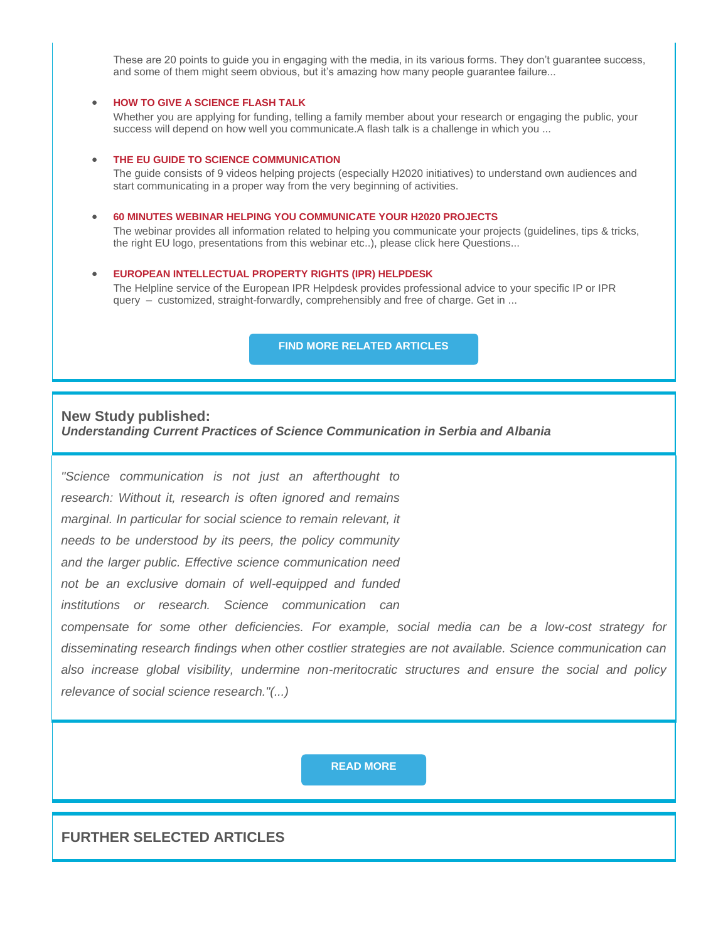These are 20 points to guide you in engaging with the media, in its various forms. They don't guarantee success, and some of them might seem obvious, but it's amazing how many people guarantee failure...

### **[HOW TO GIVE A SCIENCE FLASH TALK](https://wbc-rti.info/object/link/16791)**

Whether you are applying for funding, telling a family member about your research or engaging the public, your success will depend on how well you communicate.A flash talk is a challenge in which you ...

#### **[THE EU GUIDE TO SCIENCE COMMUNICATION](https://wbc-rti.info/object/link/16789)**

The guide consists of 9 videos helping projects (especially H2020 initiatives) to understand own audiences and start communicating in a proper way from the very beginning of activities.

### **[60 MINUTES WEBINAR HELPING YOU COMMUNICATE YOUR H2020 PROJECTS](https://wbc-rti.info/object/link/16788)**

The webinar provides all information related to helping you communicate your projects (guidelines, tips & tricks, the right EU logo, presentations from this webinar etc..), please click here Questions...

### **[EUROPEAN INTELLECTUAL PROPERTY RIGHTS \(IPR\) HELPDESK](https://wbc-rti.info/object/link/6604)**

The Helpline service of the European IPR Helpdesk provides professional advice to your specific IP or IPR query – customized, straight-forwardly, comprehensibly and free of charge. Get in ...

**[FIND MORE RELATED ARTICLES](https://wbc-rti.info/theme/44)**

# **New Study published:** *Understanding Current Practices of Science Communication in Serbia and Albania*

*"Science communication is not just an afterthought to research: Without it, research is often ignored and remains marginal. In particular for social science to remain relevant, it needs to be understood by its peers, the policy community and the larger public. Effective science communication need not be an exclusive domain of well-equipped and funded* 

*institutions or research. Science communication can* 

*compensate for some other deficiencies. For example, social media can be a low-cost strategy for disseminating research findings when other costlier strategies are not available. Science communication can also increase global visibility, undermine non-meritocratic structures and ensure the social and policy relevance of social science research."(...)* 

**[READ MORE](https://wbc-rti.info/in_focus)**

# **FURTHER SELECTED ARTICLES**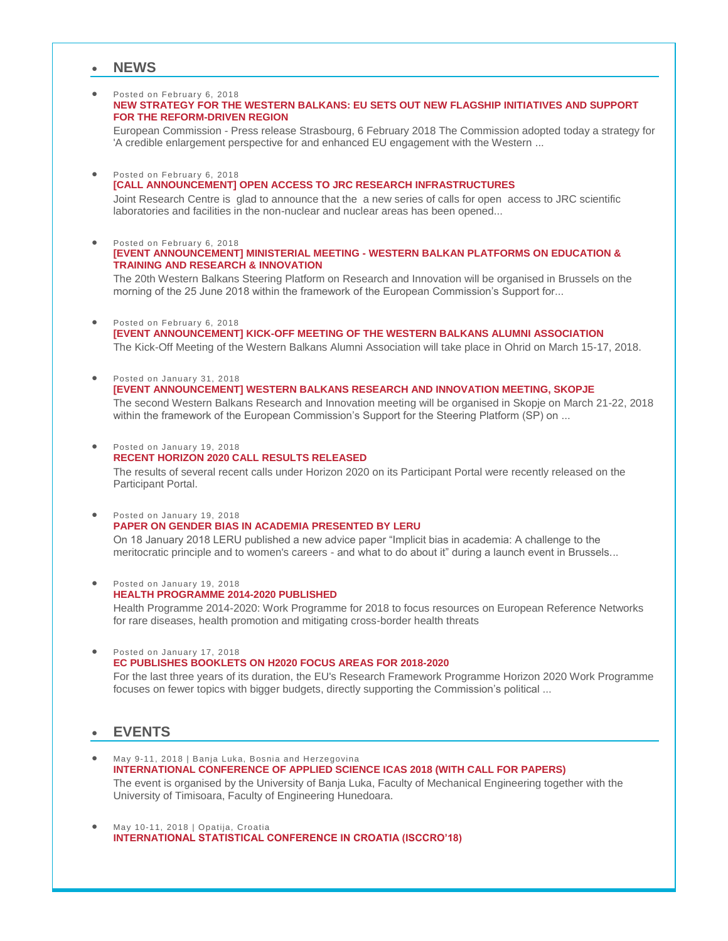# **NEWS**

#### **•** Posted on February 6, 2018

### **[NEW STRATEGY FOR THE WESTERN BALKANS: EU SETS OUT NEW FLAGSHIP INITIATIVES AND SUPPORT](https://wbc-rti.info/object/news/16859)  [FOR THE REFORM-DRIVEN REGION](https://wbc-rti.info/object/news/16859)**

European Commission - Press release Strasbourg, 6 February 2018 The Commission adopted today a strategy for 'A credible enlargement perspective for and enhanced EU engagement with the Western ...

#### **Posted on February 6, 2018**

### **[\[CALL ANNOUNCEMENT\] OPEN ACCESS TO JRC RESEARCH INFRASTRUCTURES](https://wbc-rti.info/object/news/16853)**

Joint Research Centre is glad to announce that the a new series of calls for open access to JRC scientific laboratories and facilities in the non-nuclear and nuclear areas has been opened...

#### **Posted on February 6, 2018 [EVENT ANNOUNCEMENT] MINISTERIAL MEETING - [WESTERN BALKAN PLATFORMS ON EDUCATION &](https://wbc-rti.info/object/news/16858)  [TRAINING AND RESEARCH & INNOVATION](https://wbc-rti.info/object/news/16858)**

The 20th Western Balkans Steering Platform on Research and Innovation will be organised in Brussels on the morning of the 25 June 2018 within the framework of the European Commission's Support for...

#### **•** Posted on February 6, 2018

**[\[EVENT ANNOUNCEMENT\] KICK-OFF MEETING OF THE WESTERN BALKANS ALUMNI ASSOCIATION](https://wbc-rti.info/object/news/16856)**

The Kick-Off Meeting of the Western Balkans Alumni Association will take place in Ohrid on March 15-17, 2018.

#### Posted on January 31, 2018

**[\[EVENT ANNOUNCEMENT\] WESTERN BALKANS RESEARCH AND INNOVATION MEETING, SKOPJE](https://wbc-rti.info/object/news/16838)** The second Western Balkans Research and Innovation meeting will be organised in Skopje on March 21-22, 2018 within the framework of the European Commission's Support for the Steering Platform (SP) on ...

#### **Posted on January 19, 2018**

### **RECENT HORIZON [2020 CALL RESULTS RELEASED](https://wbc-rti.info/object/news/16816)**

The results of several recent calls under Horizon 2020 on its Participant Portal were recently released on the Participant Portal.

#### ● Posted on January 19, 2018

## **[PAPER ON GENDER BIAS IN ACADEMIA PRESENTED BY LERU](https://wbc-rti.info/object/news/16815)**

On 18 January 2018 LERU published a new advice paper "Implicit bias in academia: A challenge to the meritocratic principle and to women's careers - and what to do about it" during a launch event in Brussels...

#### Posted on January 19, 2018 **[HEALTH PROGRAMME 2014-2020 PUBLISHED](https://wbc-rti.info/object/news/16814)**

Health Programme 2014-2020: Work Programme for 2018 to focus resources on European Reference Networks for rare diseases, health promotion and mitigating cross-border health threats

• Posted on January 17, 2018

### **[EC PUBLISHES BOOKLETS ON H2020 FOCUS AREAS FOR 2018-2020](https://wbc-rti.info/object/news/16776)**

For the last three years of its duration, the EU's Research Framework Programme Horizon 2020 Work Programme focuses on fewer topics with bigger budgets, directly supporting the Commission's political ...

# **EVENTS**

- May 9-11, 2018 | Banja Luka, Bosnia and Herzegovina **[INTERNATIONAL CONFERENCE OF APPLIED SCIENCE ICAS 2018 \(WITH CALL FOR PAPERS\)](https://wbc-rti.info/object/event/16831)** The event is organised by the University of Banja Luka, Faculty of Mechanical Engineering together with the University of Timisoara, Faculty of Engineering Hunedoara.
- May 10-11, 2018 | Opatija, Croatia **[INTERNATIONAL STATISTICAL CONFERENCE IN CROATIA \(ISCCRO'18\)](https://wbc-rti.info/object/event/16534)**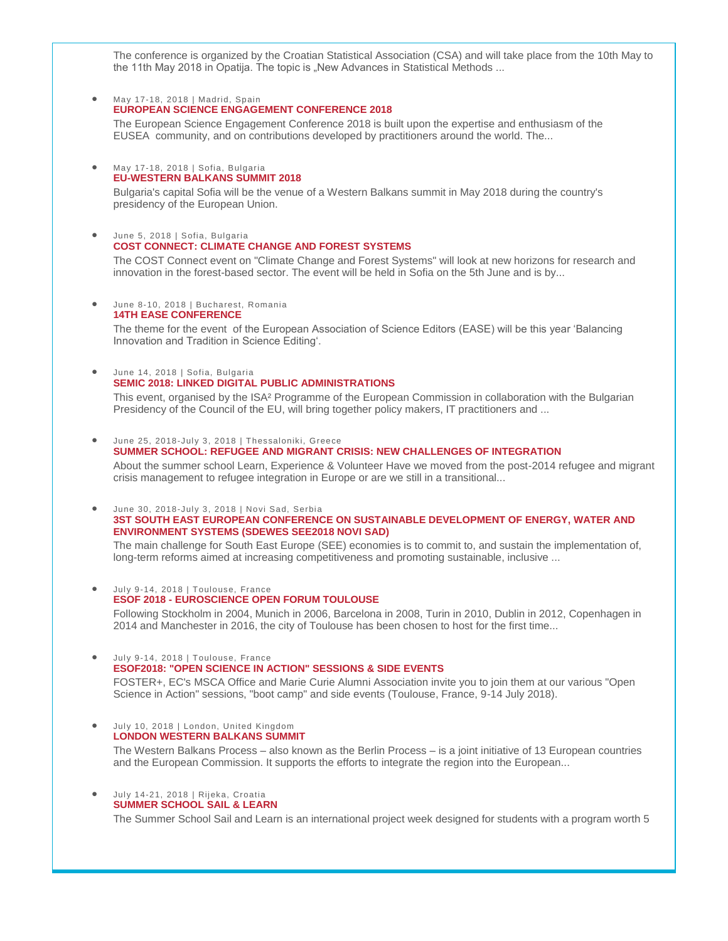The conference is organized by the Croatian Statistical Association (CSA) and will take place from the 10th May to the 11th May 2018 in Opatija. The topic is "New Advances in Statistical Methods ...

#### May 17-18, 2018 | Madrid, Spain

### **[EUROPEAN SCIENCE ENGAGEMENT CONFERENCE 2018](https://wbc-rti.info/object/event/16773)**

The European Science Engagement Conference 2018 is built upon the expertise and enthusiasm of the EUSEA community, and on contributions developed by practitioners around the world. The...

#### May 17-18, 2018 | Sofia, Bulgaria **[EU-WESTERN BALKANS SUMMIT 2018](https://wbc-rti.info/object/event/16662)**

Bulgaria's capital Sofia will be the venue of a Western Balkans summit in May 2018 during the country's presidency of the European Union.

### June 5, 2018 | Sofia, Bulgaria **[COST CONNECT: CLIMATE CHANGE AND FOREST SYSTEMS](https://wbc-rti.info/object/event/16804)**

The COST Connect event on "Climate Change and Forest Systems" will look at new horizons for research and innovation in the forest-based sector. The event will be held in Sofia on the 5th June and is by...

June 8-10, 2018 | Bucharest, Romania

### **[14TH EASE CONFERENCE](https://wbc-rti.info/object/event/16801)**

The theme for the event of the European Association of Science Editors (EASE) will be this year 'Balancing Innovation and Tradition in Science Editing'.

#### June 14, 2018 | Sofia, Bulgaria **[SEMIC 2018: LINKED DIGITAL PUBLIC ADMINISTRATIONS](https://wbc-rti.info/object/event/16813)**

This event, organised by the ISA<sup>2</sup> Programme of the European Commission in collaboration with the Bulgarian Presidency of the Council of the EU, will bring together policy makers, IT practitioners and ...

#### June 25, 2018-July 3, 2018 | Thessaloniki, Greece

#### **[SUMMER SCHOOL: REFUGEE AND MIGRANT CRISIS: NEW CHALLENGES OF INTEGRATION](https://wbc-rti.info/object/event/16765)**

About the summer school Learn, Experience & Volunteer Have we moved from the post-2014 refugee and migrant crisis management to refugee integration in Europe or are we still in a transitional...

#### June 30, 2018-July 3, 2018 | Novi Sad, Serbia

### **[3ST SOUTH EAST EUROPEAN CONFERENCE ON SUSTAINABLE DEVELOPMENT OF ENERGY, WATER AND](https://wbc-rti.info/object/event/16742)  [ENVIRONMENT SYSTEMS \(SDEWES SEE2018 NOVI SAD\)](https://wbc-rti.info/object/event/16742)**

The main challenge for South East Europe (SEE) economies is to commit to, and sustain the implementation of, long-term reforms aimed at increasing competitiveness and promoting sustainable, inclusive ...

 $\bullet$  July 9-14, 2018 | Toulouse, France

#### **ESOF 2018 - [EUROSCIENCE OPEN FORUM TOULOUSE](https://wbc-rti.info/object/event/16037)**

Following Stockholm in 2004, Munich in 2006, Barcelona in 2008, Turin in 2010, Dublin in 2012, Copenhagen in 2014 and Manchester in 2016, the city of Toulouse has been chosen to host for the first time...

#### Ully 9-14, 2018 | Toulouse, France

#### **[ESOF2018: "OPEN SCIENCE IN ACTION" SESSIONS & SIDE EVENTS](https://wbc-rti.info/object/event/16695)**

FOSTER+, EC's MSCA Office and Marie Curie Alumni Association invite you to join them at our various "Open Science in Action" sessions, "boot camp" and side events (Toulouse, France, 9-14 July 2018).

#### $\bullet$  July 10, 2018 | London, United Kingdom **[LONDON WESTERN BALKANS SUMMIT](https://wbc-rti.info/object/event/16748)**

The Western Balkans Process – also known as the Berlin Process – is a joint initiative of 13 European countries and the European Commission. It supports the efforts to integrate the region into the European...

#### July 14-21, 2018 | Rijeka, Croatia **[SUMMER SCHOOL SAIL & LEARN](https://wbc-rti.info/object/event/16563)**

The Summer School Sail and Learn is an international project week designed for students with a program worth 5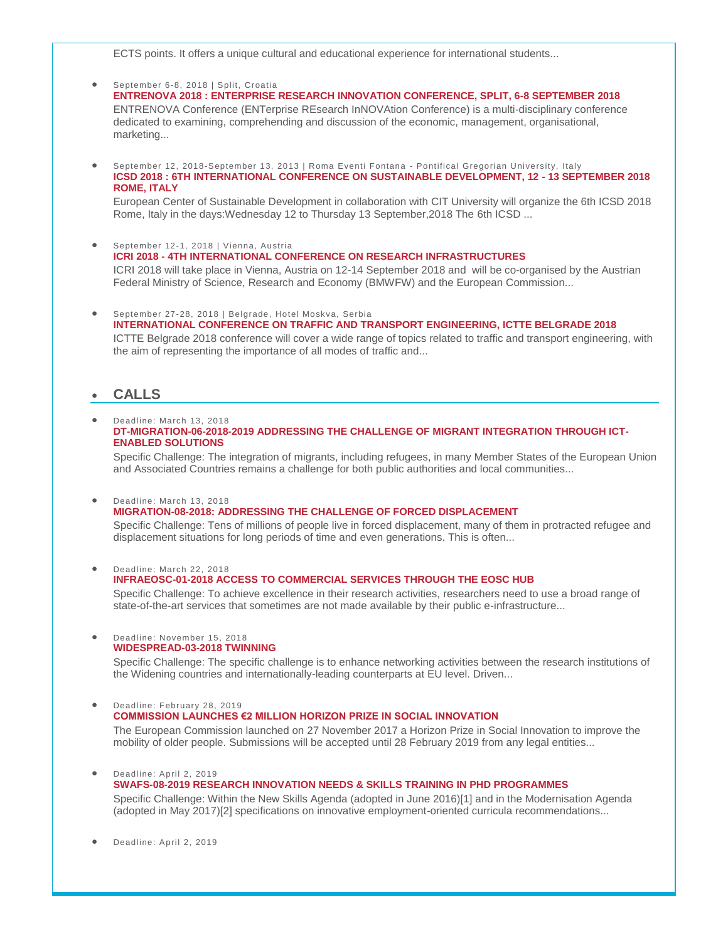ECTS points. It offers a unique cultural and educational experience for international students...

# September 6-8, 2018 | Split, Croatia

**[ENTRENOVA 2018 : ENTERPRISE RESEARCH INNOVATION CONFERENCE, SPLIT, 6-8 SEPTEMBER 2018](https://wbc-rti.info/object/event/16659)** ENTRENOVA Conference (ENTerprise REsearch InNOVAtion Conference) is a multi-disciplinary conference dedicated to examining, comprehending and discussion of the economic, management, organisational, marketing...

 September 12, 2018-September 13, 2013 | Roma Eventi Fontana - Pontifical Gregorian University, Italy **[ICSD 2018 : 6TH INTERNATIONAL CONFERENCE ON SUSTAINABLE DEVELOPMENT, 12 -](https://wbc-rti.info/object/event/16629) 13 SEPTEMBER 2018 [ROME, ITALY](https://wbc-rti.info/object/event/16629)**

European Center of Sustainable Development in collaboration with CIT University will organize the 6th ICSD 2018 Rome, Italy in the days:Wednesday 12 to Thursday 13 September,2018 The 6th ICSD ...

- September 12-1, 2018 | Vienna, Austria **ICRI 2018 - [4TH INTERNATIONAL CONFERENCE ON RESEARCH INFRASTRUCTURES](https://wbc-rti.info/object/event/16732)**  ICRI 2018 will take place in Vienna, Austria on 12-14 September 2018 and will be co-organised by the Austrian Federal Ministry of Science, Research and Economy (BMWFW) and the European Commission...
- September 27-28, 2018 | Belgrade, Hotel Moskva, Serbia **[INTERNATIONAL CONFERENCE ON TRAFFIC AND TRANSPORT ENGINEERING, ICTTE BELGRADE 2018](https://wbc-rti.info/object/event/16668)** ICTTE Belgrade 2018 conference will cover a wide range of topics related to traffic and transport engineering, with the aim of representing the importance of all modes of traffic and...

# **CALLS**

#### Deadline: March 13, 2018 **[DT-MIGRATION-06-2018-2019 ADDRESSING THE CHALLENGE OF MIGRANT INTEGRATION THROUGH ICT-](https://wbc-rti.info/object/call/16618)[ENABLED SOLUTIONS](https://wbc-rti.info/object/call/16618)**

Specific Challenge: The integration of migrants, including refugees, in many Member States of the European Union and Associated Countries remains a challenge for both public authorities and local communities...

#### Deadline: March 13, 2018

#### **[MIGRATION-08-2018: ADDRESSING THE CHALLENGE OF FORCED DISPLACEMENT](https://wbc-rti.info/object/call/16620)**

Specific Challenge: Tens of millions of people live in forced displacement, many of them in protracted refugee and displacement situations for long periods of time and even generations. This is often...

Deadline: March 22, 2018

### **[INFRAEOSC-01-2018 ACCESS TO COMMERCIAL SERVICES THROUGH THE EOSC HUB](https://wbc-rti.info/object/call/16692)**

Specific Challenge: To achieve excellence in their research activities, researchers need to use a broad range of state-of-the-art services that sometimes are not made available by their public e-infrastructure...

#### Deadline: November 15, 2018 **[WIDESPREAD-03-2018 TWINNING](https://wbc-rti.info/object/call/16616)**

Specific Challenge: The specific challenge is to enhance networking activities between the research institutions of the Widening countries and internationally-leading counterparts at EU level. Driven...

 Deadline: February 28, 2019 **[COMMISSION LAUNCHES €2 MILLION HORIZON PRIZE IN SOCIAL INNOVATION](https://wbc-rti.info/object/call/16687)**

The European Commission launched on 27 November 2017 a Horizon Prize in Social Innovation to improve the mobility of older people. Submissions will be accepted until 28 February 2019 from any legal entities...

#### **Deadline: April 2, 2019**

**[SWAFS-08-2019 RESEARCH INNOVATION NEEDS & SKILLS TRAINING IN PHD PROGRAMMES](https://wbc-rti.info/object/call/16621)**  Specific Challenge: Within the New Skills Agenda (adopted in June 2016)[1] and in the Modernisation Agenda (adopted in May 2017)[2] specifications on innovative employment-oriented curricula recommendations...

Deadline: April 2, 2019